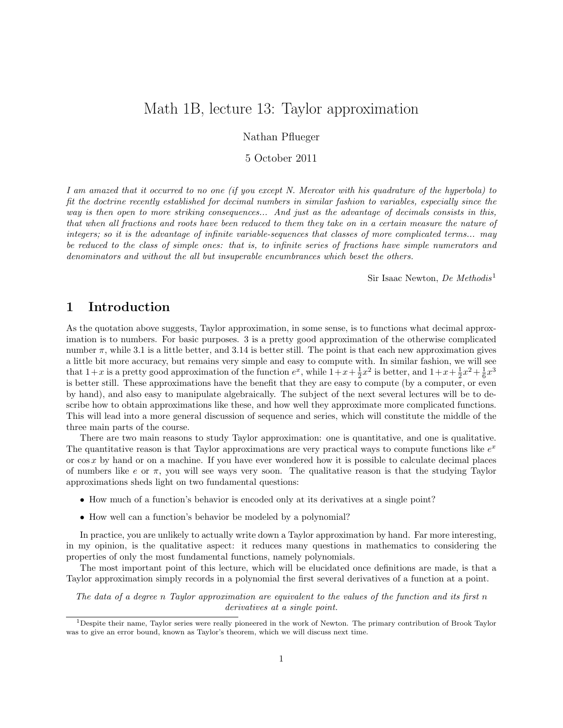# Math 1B, lecture 13: Taylor approximation

Nathan Pflueger

5 October 2011

I am amazed that it occurred to no one (if you except N. Mercator with his quadrature of the hyperbola) to fit the doctrine recently established for decimal numbers in similar fashion to variables, especially since the way is then open to more striking consequences... And just as the advantage of decimals consists in this, that when all fractions and roots have been reduced to them they take on in a certain measure the nature of integers; so it is the advantage of infinite variable-sequences that classes of more complicated terms... may be reduced to the class of simple ones: that is, to infinite series of fractions have simple numerators and denominators and without the all but insuperable encumbrances which beset the others.

Sir Isaac Newton, De Methodis<sup>1</sup>

#### 1 Introduction

As the quotation above suggests, Taylor approximation, in some sense, is to functions what decimal approximation is to numbers. For basic purposes. 3 is a pretty good approximation of the otherwise complicated number  $\pi$ , while 3.1 is a little better, and 3.14 is better still. The point is that each new approximation gives a little bit more accuracy, but remains very simple and easy to compute with. In similar fashion, we will see that  $1+x$  is a pretty good approximation of the function  $e^x$ , while  $1+x+\frac{1}{2}x^2$  is better, and  $1+x+\frac{1}{2}x^2+\frac{1}{6}x^3$ is better still. These approximations have the benefit that they are easy to compute (by a computer, or even by hand), and also easy to manipulate algebraically. The subject of the next several lectures will be to describe how to obtain approximations like these, and how well they approximate more complicated functions. This will lead into a more general discussion of sequence and series, which will constitute the middle of the three main parts of the course.

There are two main reasons to study Taylor approximation: one is quantitative, and one is qualitative. The quantitative reason is that Taylor approximations are very practical ways to compute functions like  $e^x$ or  $\cos x$  by hand or on a machine. If you have ever wondered how it is possible to calculate decimal places of numbers like  $e$  or  $\pi$ , you will see ways very soon. The qualitative reason is that the studying Taylor approximations sheds light on two fundamental questions:

- How much of a function's behavior is encoded only at its derivatives at a single point?
- How well can a function's behavior be modeled by a polynomial?

In practice, you are unlikely to actually write down a Taylor approximation by hand. Far more interesting, in my opinion, is the qualitative aspect: it reduces many questions in mathematics to considering the properties of only the most fundamental functions, namely polynomials.

The most important point of this lecture, which will be elucidated once definitions are made, is that a Taylor approximation simply records in a polynomial the first several derivatives of a function at a point.

The data of a degree n Taylor approximation are equivalent to the values of the function and its first n derivatives at a single point.

<sup>1</sup>Despite their name, Taylor series were really pioneered in the work of Newton. The primary contribution of Brook Taylor was to give an error bound, known as Taylor's theorem, which we will discuss next time.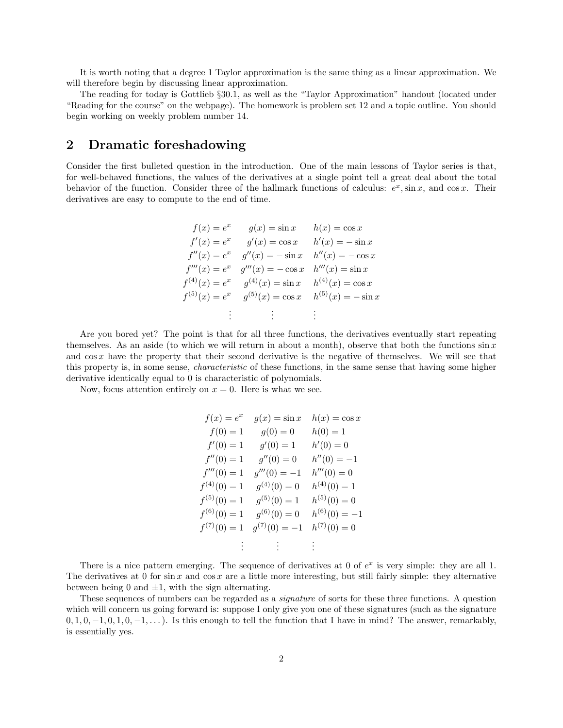It is worth noting that a degree 1 Taylor approximation is the same thing as a linear approximation. We will therefore begin by discussing linear approximation.

The reading for today is Gottlieb §30.1, as well as the "Taylor Approximation" handout (located under "Reading for the course" on the webpage). The homework is problem set 12 and a topic outline. You should begin working on weekly problem number 14.

## 2 Dramatic foreshadowing

Consider the first bulleted question in the introduction. One of the main lessons of Taylor series is that, for well-behaved functions, the values of the derivatives at a single point tell a great deal about the total behavior of the function. Consider three of the hallmark functions of calculus:  $e^x$ ,  $\sin x$ , and  $\cos x$ . Their derivatives are easy to compute to the end of time.

$$
f(x) = e^x \t g(x) = \sin x \t h(x) = \cos x
$$
  
\n
$$
f'(x) = e^x \t g'(x) = \cos x \t h'(x) = -\sin x
$$
  
\n
$$
f''(x) = e^x \t g''(x) = -\sin x \t h''(x) = -\cos x
$$
  
\n
$$
f'''(x) = e^x \t g'''(x) = -\cos x \t h'''(x) = \sin x
$$
  
\n
$$
f^{(4)}(x) = e^x \t g^{(4)}(x) = \sin x \t h^{(4)}(x) = \cos x
$$
  
\n
$$
f^{(5)}(x) = e^x \t g^{(5)}(x) = \cos x \t h^{(5)}(x) = -\sin x
$$
  
\n
$$
\vdots \t \vdots \t \vdots
$$

Are you bored yet? The point is that for all three functions, the derivatives eventually start repeating themselves. As an aside (to which we will return in about a month), observe that both the functions  $\sin x$ and cos x have the property that their second derivative is the negative of themselves. We will see that this property is, in some sense, characteristic of these functions, in the same sense that having some higher derivative identically equal to 0 is characteristic of polynomials.

Now, focus attention entirely on  $x = 0$ . Here is what we see.

$$
f(x) = e^x \t g(x) = \sin x \t h(x) = \cos x
$$
  
\n
$$
f(0) = 1 \t g(0) = 0 \t h(0) = 1
$$
  
\n
$$
f'(0) = 1 \t g'(0) = 1 \t h'(0) = 0
$$
  
\n
$$
f''(0) = 1 \t g''(0) = 0 \t h''(0) = -1
$$
  
\n
$$
f'''(0) = 1 \t g'''(0) = -1 \t h'''(0) = 0
$$
  
\n
$$
f^{(4)}(0) = 1 \t g^{(4)}(0) = 0 \t h^{(4)}(0) = 1
$$
  
\n
$$
f^{(5)}(0) = 1 \t g^{(5)}(0) = 1 \t h^{(5)}(0) = 0
$$
  
\n
$$
f^{(6)}(0) = 1 \t g^{(6)}(0) = 0 \t h^{(6)}(0) = -1
$$
  
\n
$$
f^{(7)}(0) = 1 \t g^{(7)}(0) = -1 \t h^{(7)}(0) = 0
$$
  
\n
$$
\vdots \t \vdots \t \vdots
$$

There is a nice pattern emerging. The sequence of derivatives at 0 of  $e^x$  is very simple: they are all 1. The derivatives at 0 for  $\sin x$  and  $\cos x$  are a little more interesting, but still fairly simple: they alternative between being 0 and  $\pm 1$ , with the sign alternating.

These sequences of numbers can be regarded as a *signature* of sorts for these three functions. A question which will concern us going forward is: suppose I only give you one of these signatures (such as the signature  $0, 1, 0, -1, 0, 1, 0, -1, \ldots$ ). Is this enough to tell the function that I have in mind? The answer, remarkably, is essentially yes.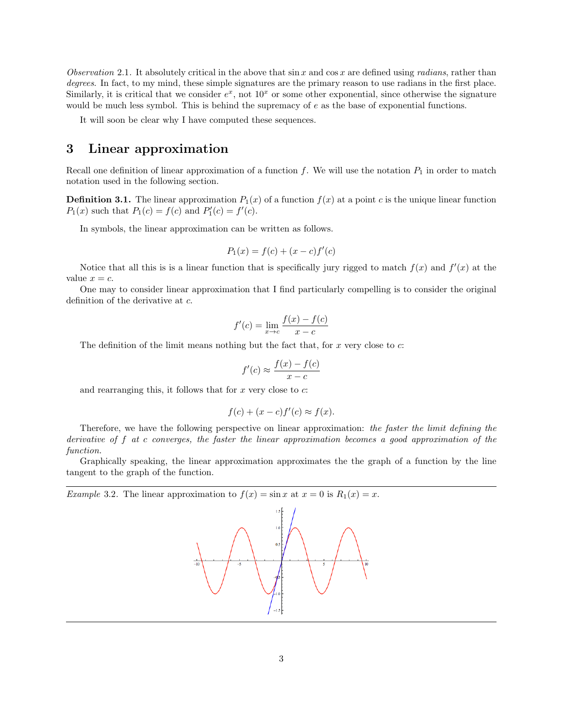Observation 2.1. It absolutely critical in the above that  $\sin x$  and  $\cos x$  are defined using *radians*, rather than degrees. In fact, to my mind, these simple signatures are the primary reason to use radians in the first place. Similarly, it is critical that we consider  $e^x$ , not  $10^x$  or some other exponential, since otherwise the signature would be much less symbol. This is behind the supremacy of  $e$  as the base of exponential functions.

It will soon be clear why I have computed these sequences.

## 3 Linear approximation

Recall one definition of linear approximation of a function  $f$ . We will use the notation  $P_1$  in order to match notation used in the following section.

**Definition 3.1.** The linear approximation  $P_1(x)$  of a function  $f(x)$  at a point c is the unique linear function  $P_1(x)$  such that  $P_1(c) = f(c)$  and  $P'_1(c) = f'(c)$ .

In symbols, the linear approximation can be written as follows.

$$
P_1(x) = f(c) + (x - c)f'(c)
$$

Notice that all this is is a linear function that is specifically jury rigged to match  $f(x)$  and  $f'(x)$  at the value  $x = c$ .

One may to consider linear approximation that I find particularly compelling is to consider the original definition of the derivative at c.

$$
f'(c) = \lim_{x \to c} \frac{f(x) - f(c)}{x - c}
$$

The definition of the limit means nothing but the fact that, for  $x$  very close to  $c$ :

$$
f'(c) \approx \frac{f(x) - f(c)}{x - c}
$$

and rearranging this, it follows that for  $x$  very close to  $c$ :

$$
f(c) + (x - c)f'(c) \approx f(x).
$$

Therefore, we have the following perspective on linear approximation: the faster the limit defining the derivative of f at c converges, the faster the linear approximation becomes a good approximation of the function.

Graphically speaking, the linear approximation approximates the the graph of a function by the line tangent to the graph of the function.

*Example* 3.2. The linear approximation to  $f(x) = \sin x$  at  $x = 0$  is  $R_1(x) = x$ .

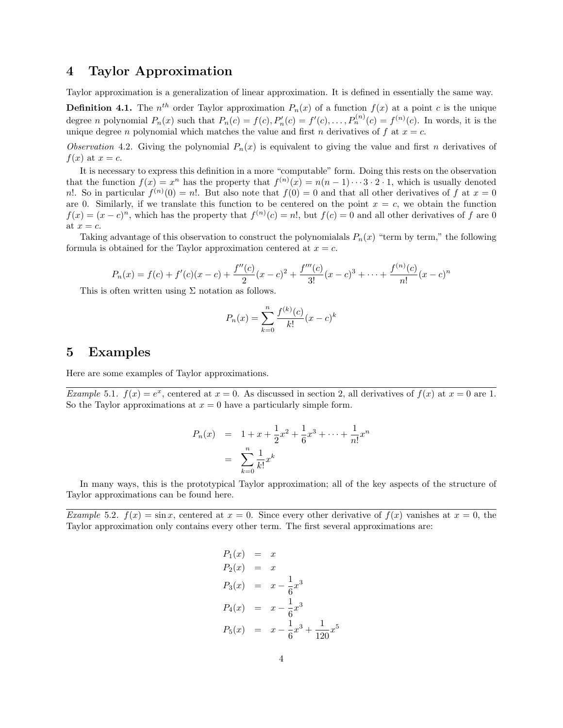## 4 Taylor Approximation

Taylor approximation is a generalization of linear approximation. It is defined in essentially the same way.

**Definition 4.1.** The  $n^{th}$  order Taylor approximation  $P_n(x)$  of a function  $f(x)$  at a point c is the unique degree *n* polynomial  $P_n(x)$  such that  $P_n(c) = f(c), P'_n(c) = f'(c), \ldots, P_n^{(n)}(c) = f^{(n)}(c)$ . In words, it is the unique degree n polynomial which matches the value and first n derivatives of f at  $x = c$ .

Observation 4.2. Giving the polynomial  $P_n(x)$  is equivalent to giving the value and first n derivatives of  $f(x)$  at  $x = c$ .

It is necessary to express this definition in a more "computable" form. Doing this rests on the observation that the function  $f(x) = x^n$  has the property that  $f^{(n)}(x) = n(n-1)\cdots 3\cdot 2\cdot 1$ , which is usually denoted n!. So in particular  $f^{(n)}(0) = n!$ . But also note that  $f(0) = 0$  and that all other derivatives of f at  $x = 0$ are 0. Similarly, if we translate this function to be centered on the point  $x = c$ , we obtain the function  $f(x) = (x - c)^n$ , which has the property that  $f^{(n)}(c) = n!$ , but  $f(c) = 0$  and all other derivatives of f are 0 at  $x = c$ .

Taking advantage of this observation to construct the polynomialals  $P_n(x)$  "term by term," the following formula is obtained for the Taylor approximation centered at  $x = c$ .

$$
P_n(x) = f(c) + f'(c)(x - c) + \frac{f''(c)}{2}(x - c)^2 + \frac{f'''(c)}{3!}(x - c)^3 + \dots + \frac{f^{(n)}(c)}{n!}(x - c)^n
$$

This is often written using  $\Sigma$  notation as follows.

$$
P_n(x) = \sum_{k=0}^{n} \frac{f^{(k)}(c)}{k!} (x - c)^k
$$

#### 5 Examples

Here are some examples of Taylor approximations.

*Example* 5.1.  $f(x) = e^x$ , centered at  $x = 0$ . As discussed in section 2, all derivatives of  $f(x)$  at  $x = 0$  are 1. So the Taylor approximations at  $x = 0$  have a particularly simple form.

$$
P_n(x) = 1 + x + \frac{1}{2}x^2 + \frac{1}{6}x^3 + \dots + \frac{1}{n!}x^n
$$
  
= 
$$
\sum_{k=0}^n \frac{1}{k!}x^k
$$

In many ways, this is the prototypical Taylor approximation; all of the key aspects of the structure of Taylor approximations can be found here.

Example 5.2.  $f(x) = \sin x$ , centered at  $x = 0$ . Since every other derivative of  $f(x)$  vanishes at  $x = 0$ , the Taylor approximation only contains every other term. The first several approximations are:

$$
P_1(x) = x
$$
  
\n
$$
P_2(x) = x
$$
  
\n
$$
P_3(x) = x - \frac{1}{6}x^3
$$
  
\n
$$
P_4(x) = x - \frac{1}{6}x^3
$$
  
\n
$$
P_5(x) = x - \frac{1}{6}x^3 + \frac{1}{120}x^5
$$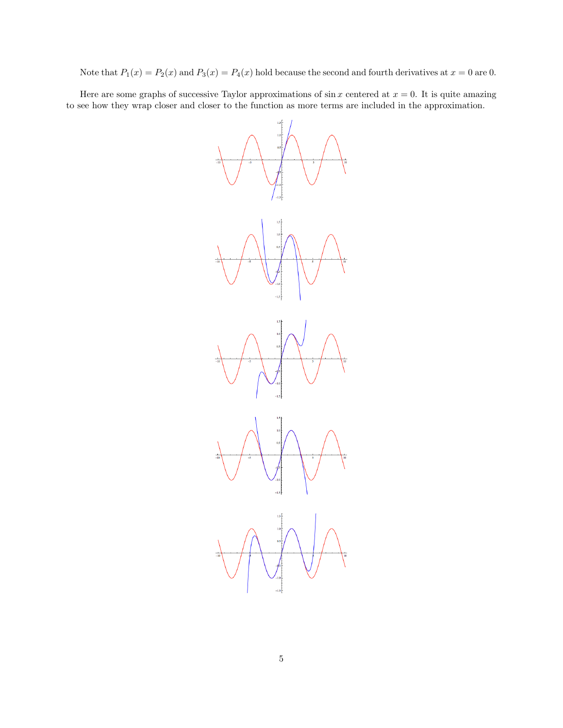Note that  $P_1(x) = P_2(x)$  and  $P_3(x) = P_4(x)$  hold because the second and fourth derivatives at  $x = 0$  are 0.

Here are some graphs of successive Taylor approximations of  $\sin x$  centered at  $x = 0$ . It is quite amazing to see how they wrap closer and closer to the function as more terms are included in the approximation.

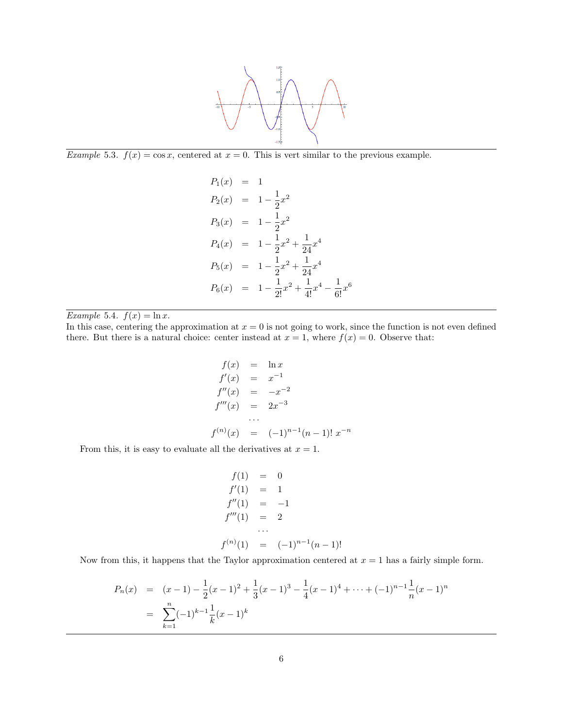

Example 5.3.  $f(x) = \cos x$ , centered at  $x = 0$ . This is vert similar to the previous example.

$$
P_1(x) = 1
$$
  
\n
$$
P_2(x) = 1 - \frac{1}{2}x^2
$$
  
\n
$$
P_3(x) = 1 - \frac{1}{2}x^2
$$
  
\n
$$
P_4(x) = 1 - \frac{1}{2}x^2 + \frac{1}{24}x^4
$$
  
\n
$$
P_5(x) = 1 - \frac{1}{2}x^2 + \frac{1}{24}x^4
$$
  
\n
$$
P_6(x) = 1 - \frac{1}{2!}x^2 + \frac{1}{4!}x^4 - \frac{1}{6!}x^6
$$

Example 5.4.  $f(x) = \ln x$ .

In this case, centering the approximation at  $x = 0$  is not going to work, since the function is not even defined there. But there is a natural choice: center instead at  $x = 1$ , where  $f(x) = 0$ . Observe that:

$$
f(x) = \ln x
$$
  
\n
$$
f'(x) = x^{-1}
$$
  
\n
$$
f''(x) = -x^{-2}
$$
  
\n
$$
f'''(x) = 2x^{-3}
$$
  
\n...  
\n
$$
f^{(n)}(x) = (-1)^{n-1}(n-1)! x^{-n}
$$

From this, it is easy to evaluate all the derivatives at  $x = 1$ .

$$
f(1) = 0
$$
  
\n
$$
f'(1) = 1
$$
  
\n
$$
f''(1) = -1
$$
  
\n
$$
f'''(1) = 2
$$
  
\n...  
\n
$$
f^{(n)}(1) = (-1)^{n-1}(n-1)!
$$

Now from this, it happens that the Taylor approximation centered at  $x = 1$  has a fairly simple form.

$$
P_n(x) = (x-1) - \frac{1}{2}(x-1)^2 + \frac{1}{3}(x-1)^3 - \frac{1}{4}(x-1)^4 + \dots + (-1)^{n-1} \frac{1}{n}(x-1)^n
$$
  
= 
$$
\sum_{k=1}^n (-1)^{k-1} \frac{1}{k}(x-1)^k
$$